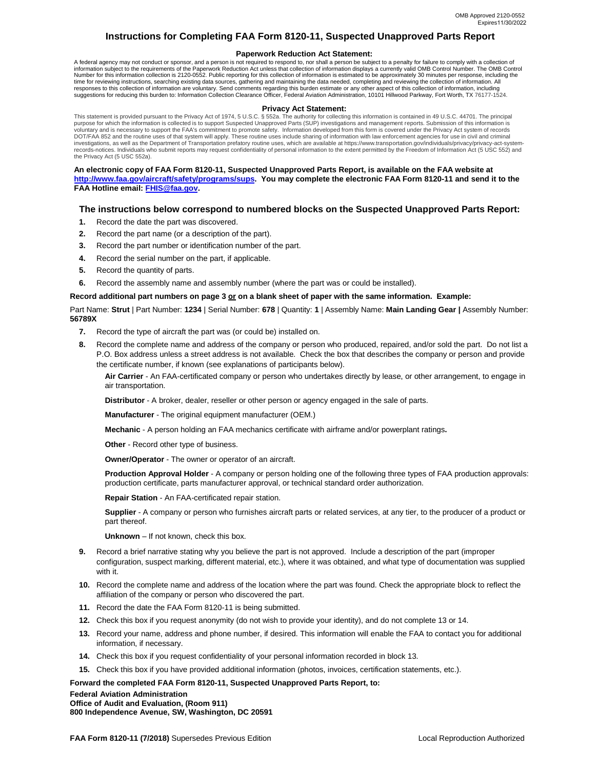# **Instructions for Completing FAA Form 8120-11, Suspected Unapproved Parts Report**

### **Paperwork Reduction Act Statement:**

A federal agency may not conduct or sponsor, and a person is not required to respond to, nor shall a person be subject to a penalty for failure to comply with a collection of information subject to the requirements of the Paperwork Reduction Act unless that collection of information displays a currently valid OMB Control Number. The OMB Control<br>Number for this information collection is 2120-055 time for reviewing instructions, searching existing data sources, gathering and maintaining the data needed, completing and reviewing the collection of information. All responses to this collection of information are voluntary. Send comments regarding this burden estimate or any other aspect of this collection of information, including<br>suggestions for reducing this burden to: Information

#### **Privacy Act Statement:**

This statement is provided pursuant to the Privacy Act of 1974, 5 U.S.C. § 552a. The authority for collecting this information is contained in 49 U.S.C. 44701. The principal purpose for which the information is collected is to support Suspected Unapproved Parts (SUP) investigations and management reports. Submission of this information is voluntary and is necessary to support the FAA's commitment to promote safety. Information developed from this form is covered under the Privacy Act system of records<br>DOT/FAA 852 and the routine uses of that system will app investigations, as well as the Department of Transportation prefatory routine uses, which are available at https://www.transportation.gov/individuals/privacy/privacy-act-systemrecords-notices. Individuals who submit reports may request confidentiality of personal information to the extent permitted by the Freedom of Information Act (5 USC 552) and the Privacy Act (5 USC 552a).

#### **An electronic copy of FAA Form 8120-11, Suspected Unapproved Parts Report, is available on the FAA website at http://www.faa.gov/aircraft/safety/programs/sups. You may complete the electronic FAA Form 8120-11 and send it to the FAA Hotline email: FHIS@faa.gov.**

## **The instructions below correspond to numbered blocks on the Suspected Unapproved Parts Report:**

- **1.** Record the date the part was discovered.
- **2.** Record the part name (or a description of the part).
- **3.** Record the part number or identification number of the part.
- **4.** Record the serial number on the part, if applicable.
- **5.** Record the quantity of parts.
- **6.** Record the assembly name and assembly number (where the part was or could be installed).

### Record additional part numbers on page 3 or on a blank sheet of paper with the same information. Example:

 Part Name: **Strut** | Part Number: **1234** | Serial Number: **678** | Quantity: **1** | Assembly Name: **Main Landing Gear |** Assembly Number: **56789X** 

- **7.** Record the type of aircraft the part was (or could be) installed on.
- **8.** Record the complete name and address of the company or person who produced, repaired, and/or sold the part. Do not list a P.O. Box address unless a street address is not available. Check the box that describes the company or person and provide the certificate number, if known (see explanations of participants below).

 **Air Carrier** - An FAA-certificated company or person who undertakes directly by lease, or other arrangement, to engage in air transportation.

**Distributor** - A broker, dealer, reseller or other person or agency engaged in the sale of parts.

**Manufacturer** - The original equipment manufacturer (OEM.)

**Mechanic** - A person holding an FAA mechanics certificate with airframe and/or powerplant ratings**.** 

**Other** - Record other type of business.

**Owner/Operator** - The owner or operator of an aircraft.

 **Production Approval Holder** - A company or person holding one of the following three types of FAA production approvals: production certificate, parts manufacturer approval, or technical standard order authorization.

**Repair Station** - An FAA-certificated repair station.

 **Supplier** - A company or person who furnishes aircraft parts or related services, at any tier, to the producer of a product or part thereof.

**Unknown** – If not known, check this box.

- **9.** Record a brief narrative stating why you believe the part is not approved. Include a description of the part (improper configuration, suspect marking, different material, etc.), where it was obtained, and what type of documentation was supplied with it.
- **10.** Record the complete name and address of the location where the part was found. Check the appropriate block to reflect the affiliation of the company or person who discovered the part.
- **11.** Record the date the FAA Form 8120-11 is being submitted.
- **12.** Check this box if you request anonymity (do not wish to provide your identity), and do not complete 13 or 14.
- **13.** Record your name, address and phone number, if desired. This information will enable the FAA to contact you for additional information, if necessary.
- **14.** Check this box if you request confidentiality of your personal information recorded in block 13.
- **15.** Check this box if you have provided additional information (photos, invoices, certification statements, etc.).

 **Forward the completed FAA Form 8120-11, Suspected Unapproved Parts Report, to:** 

**Federal Aviation Administration Office of Audit and Evaluation, (Room 911) 800 Independence Avenue, SW, Washington, DC 20591**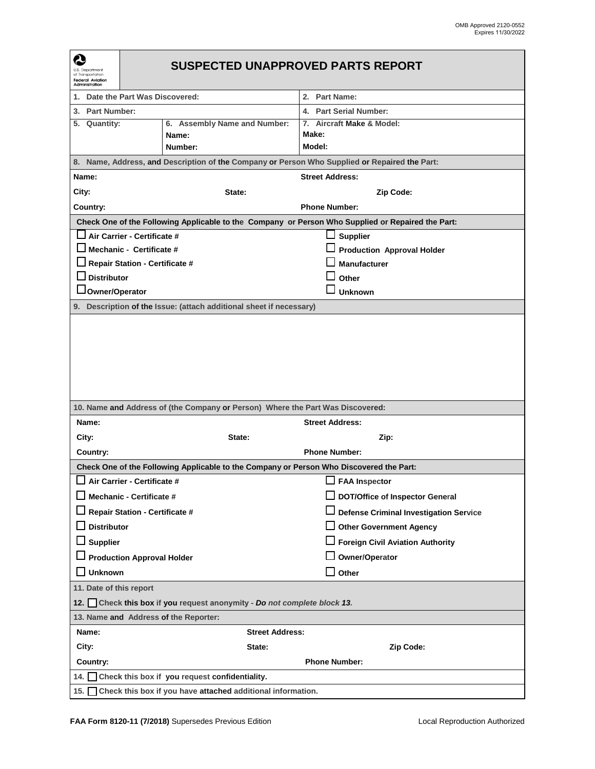| Q<br>U.S. Department<br>of Transportation<br><b>Federal Aviation</b><br>Administration        | <b>SUSPECTED UNAPPROVED PARTS REPORT</b>                                                          |                                                                                         |                                               |  |  |  |  |  |  |
|-----------------------------------------------------------------------------------------------|---------------------------------------------------------------------------------------------------|-----------------------------------------------------------------------------------------|-----------------------------------------------|--|--|--|--|--|--|
| Date the Part Was Discovered:<br>1.                                                           |                                                                                                   |                                                                                         | 2. Part Name:                                 |  |  |  |  |  |  |
| 3. Part Number:                                                                               |                                                                                                   |                                                                                         | 4. Part Serial Number:                        |  |  |  |  |  |  |
| 5. Quantity:                                                                                  |                                                                                                   | 6. Assembly Name and Number:                                                            | 7. Aircraft Make & Model:                     |  |  |  |  |  |  |
|                                                                                               |                                                                                                   | Name:                                                                                   | Make:                                         |  |  |  |  |  |  |
|                                                                                               |                                                                                                   | Number:                                                                                 | Model:                                        |  |  |  |  |  |  |
| 8. Name, Address, and Description of the Company or Person Who Supplied or Repaired the Part: |                                                                                                   |                                                                                         |                                               |  |  |  |  |  |  |
| Name:                                                                                         |                                                                                                   |                                                                                         | <b>Street Address:</b>                        |  |  |  |  |  |  |
| City:                                                                                         |                                                                                                   | State:                                                                                  | Zip Code:                                     |  |  |  |  |  |  |
| Country:                                                                                      |                                                                                                   |                                                                                         | <b>Phone Number:</b>                          |  |  |  |  |  |  |
|                                                                                               | Check One of the Following Applicable to the Company or Person Who Supplied or Repaired the Part: |                                                                                         |                                               |  |  |  |  |  |  |
| Air Carrier - Certificate #                                                                   |                                                                                                   |                                                                                         | <b>Supplier</b><br>ப                          |  |  |  |  |  |  |
| $\Box$ Mechanic - Certificate #                                                               |                                                                                                   |                                                                                         | <b>Production Approval Holder</b>             |  |  |  |  |  |  |
| <b>Repair Station - Certificate #</b>                                                         |                                                                                                   |                                                                                         | <b>Manufacturer</b>                           |  |  |  |  |  |  |
| <b>Distributor</b>                                                                            |                                                                                                   |                                                                                         | Other                                         |  |  |  |  |  |  |
| <b>Owner/Operator</b>                                                                         |                                                                                                   |                                                                                         | <b>Unknown</b>                                |  |  |  |  |  |  |
| 9. Description of the Issue: (attach additional sheet if necessary)                           |                                                                                                   |                                                                                         |                                               |  |  |  |  |  |  |
| 10. Name and Address of (the Company or Person) Where the Part Was Discovered:                |                                                                                                   |                                                                                         |                                               |  |  |  |  |  |  |
| Name:                                                                                         |                                                                                                   |                                                                                         | <b>Street Address:</b>                        |  |  |  |  |  |  |
| City:                                                                                         |                                                                                                   | State:                                                                                  | Zip:                                          |  |  |  |  |  |  |
| Country:                                                                                      |                                                                                                   |                                                                                         | <b>Phone Number:</b>                          |  |  |  |  |  |  |
|                                                                                               |                                                                                                   | Check One of the Following Applicable to the Company or Person Who Discovered the Part: |                                               |  |  |  |  |  |  |
|                                                                                               | Air Carrier - Certificate #                                                                       |                                                                                         | $\Box$ FAA Inspector                          |  |  |  |  |  |  |
|                                                                                               | Mechanic - Certificate #                                                                          |                                                                                         | <b>DOT/Office of Inspector General</b>        |  |  |  |  |  |  |
|                                                                                               | <b>Repair Station - Certificate #</b>                                                             |                                                                                         | <b>Defense Criminal Investigation Service</b> |  |  |  |  |  |  |
| <b>Distributor</b>                                                                            |                                                                                                   |                                                                                         | <b>Other Government Agency</b>                |  |  |  |  |  |  |
| $\Box$ Supplier                                                                               |                                                                                                   |                                                                                         | □ Foreign Civil Aviation Authority            |  |  |  |  |  |  |
| □ Production Approval Holder                                                                  |                                                                                                   |                                                                                         | Owner/Operator                                |  |  |  |  |  |  |
| <b>Unknown</b><br>- 1                                                                         |                                                                                                   |                                                                                         | $\Box$ Other                                  |  |  |  |  |  |  |
|                                                                                               |                                                                                                   |                                                                                         |                                               |  |  |  |  |  |  |
| 11. Date of this report                                                                       |                                                                                                   |                                                                                         |                                               |  |  |  |  |  |  |
| 12. Check this box if you request anonymity - Do not complete block 13.                       |                                                                                                   |                                                                                         |                                               |  |  |  |  |  |  |
| Name:                                                                                         | 13. Name and Address of the Reporter:                                                             |                                                                                         |                                               |  |  |  |  |  |  |
|                                                                                               |                                                                                                   | <b>Street Address:</b>                                                                  |                                               |  |  |  |  |  |  |
| City:                                                                                         |                                                                                                   | State:                                                                                  | Zip Code:                                     |  |  |  |  |  |  |
| Country:                                                                                      |                                                                                                   | <b>Phone Number:</b>                                                                    |                                               |  |  |  |  |  |  |
|                                                                                               | 14. Check this box if you request confidentiality.                                                |                                                                                         |                                               |  |  |  |  |  |  |
|                                                                                               | 15. Check this box if you have attached additional information.                                   |                                                                                         |                                               |  |  |  |  |  |  |